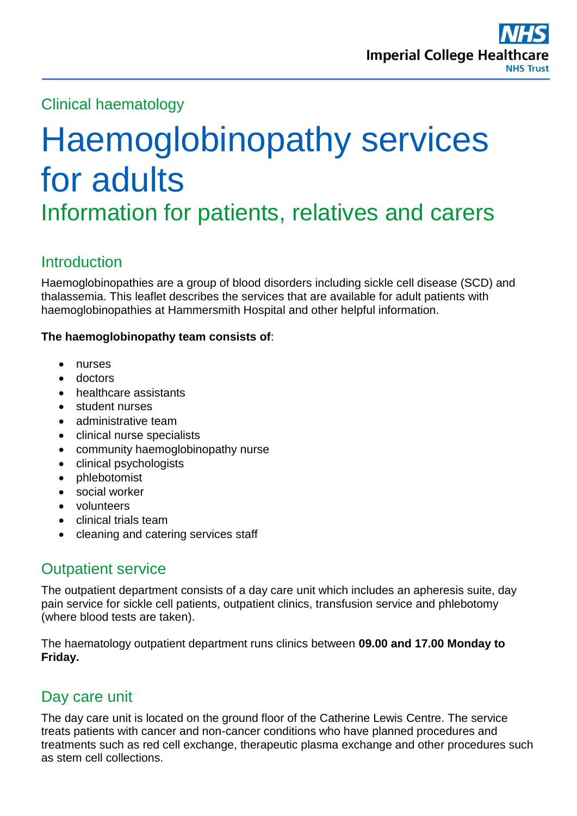Clinical haematology

# Haemoglobinopathy services for adults Information for patients, relatives and carers

# **Introduction**

Haemoglobinopathies are a group of blood disorders including sickle cell disease (SCD) and thalassemia. This leaflet describes the services that are available for adult patients with haemoglobinopathies at Hammersmith Hospital and other helpful information.

### **The haemoglobinopathy team consists of**:

- nurses
- doctors
- healthcare assistants
- student nurses
- administrative team
- clinical nurse specialists
- community haemoglobinopathy nurse
- clinical psychologists
- phlebotomist
- social worker
- volunteers
- clinical trials team
- cleaning and catering services staff

# Outpatient service

The outpatient department consists of a day care unit which includes an apheresis suite, day pain service for sickle cell patients, outpatient clinics, transfusion service and phlebotomy (where blood tests are taken).

The haematology outpatient department runs clinics between **09.00 and 17.00 Monday to Friday.**

# Day care unit

The day care unit is located on the ground floor of the Catherine Lewis Centre. The service treats patients with cancer and non-cancer conditions who have planned procedures and treatments such as red cell exchange, therapeutic plasma exchange and other procedures such as stem cell collections.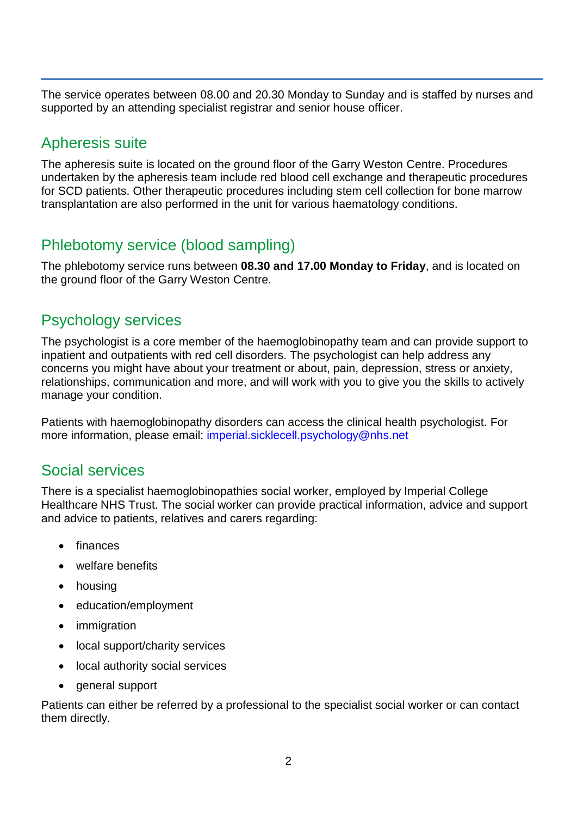The service operates between 08.00 and 20.30 Monday to Sunday and is staffed by nurses and supported by an attending specialist registrar and senior house officer.

# Apheresis suite

The apheresis suite is located on the ground floor of the Garry Weston Centre. Procedures undertaken by the apheresis team include red blood cell exchange and therapeutic procedures for SCD patients. Other therapeutic procedures including stem cell collection for bone marrow transplantation are also performed in the unit for various haematology conditions.

# Phlebotomy service (blood sampling)

The phlebotomy service runs between **08.30 and 17.00 Monday to Friday**, and is located on the ground floor of the Garry Weston Centre.

# Psychology services

The psychologist is a core member of the haemoglobinopathy team and can provide support to inpatient and outpatients with red cell disorders. The psychologist can help address any concerns you might have about your treatment or about, pain, depression, stress or anxiety, relationships, communication and more, and will work with you to give you the skills to actively manage your condition.

Patients with haemoglobinopathy disorders can access the clinical health psychologist. For more information, please email: [imperial.sicklecell.psychology@nhs.net](imperial.sicklecell.psychology@nhs.net%20)

## Social services

There is a specialist haemoglobinopathies social worker, employed by Imperial College Healthcare NHS Trust. The social worker can provide practical information, advice and support and advice to patients, relatives and carers regarding:

- finances
- welfare benefits
- housing
- education/employment
- immigration
- local support/charity services
- local authority social services
- general support

Patients can either be referred by a professional to the specialist social worker or can contact them directly.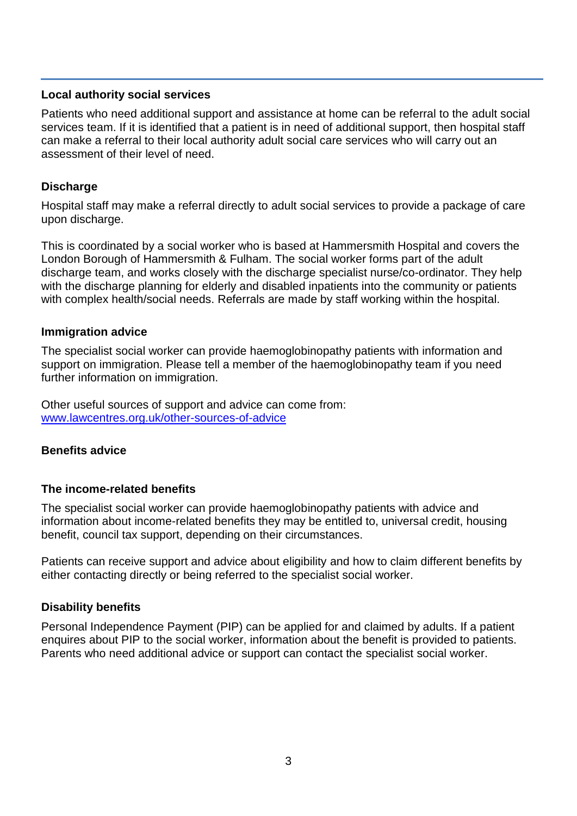#### **Local authority social services**

Patients who need additional support and assistance at home can be referral to the adult social services team. If it is identified that a patient is in need of additional support, then hospital staff can make a referral to their local authority adult social care services who will carry out an assessment of their level of need.

#### **Discharge**

Hospital staff may make a referral directly to adult social services to provide a package of care upon discharge.

This is coordinated by a social worker who is based at Hammersmith Hospital and covers the London Borough of Hammersmith & Fulham. The social worker forms part of the adult discharge team, and works closely with the discharge specialist nurse/co-ordinator. They help with the discharge planning for elderly and disabled inpatients into the community or patients with complex health/social needs. Referrals are made by staff working within the hospital.

#### **Immigration advice**

The specialist social worker can provide haemoglobinopathy patients with information and support on immigration. Please tell a member of the haemoglobinopathy team if you need further information on immigration.

Other useful sources of support and advice can come from: www.lawcentres.org.uk/other-sources-of-advice

#### **Benefits advice**

#### **The income-related benefits**

The specialist social worker can provide haemoglobinopathy patients with advice and information about income-related benefits they may be entitled to, universal credit, housing benefit, council tax support, depending on their circumstances.

Patients can receive support and advice about eligibility and how to claim different benefits by either contacting directly or being referred to the specialist social worker.

#### **Disability benefits**

Personal Independence Payment (PIP) can be applied for and claimed by adults. If a patient enquires about PIP to the social worker, information about the benefit is provided to patients. Parents who need additional advice or support can contact the specialist social worker.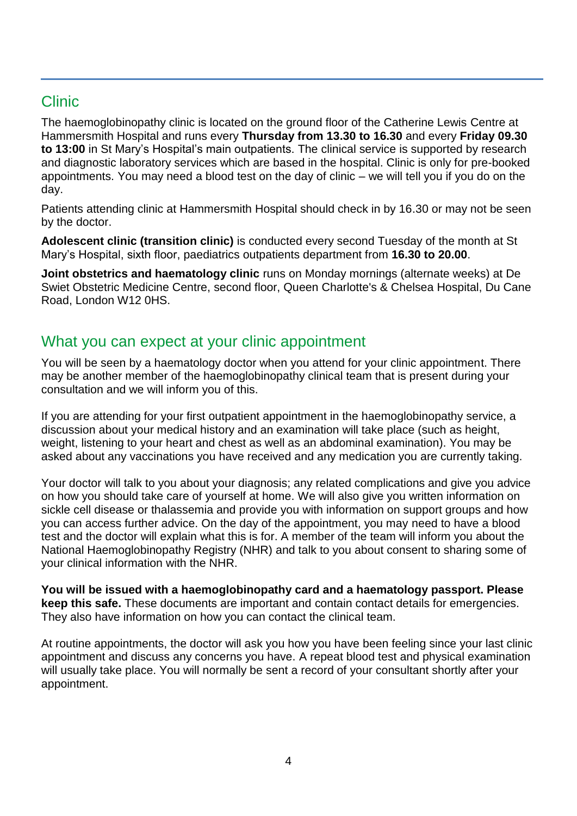# Clinic

The haemoglobinopathy clinic is located on the ground floor of the Catherine Lewis Centre at Hammersmith Hospital and runs every **Thursday from 13.30 to 16.30** and every **Friday 09.30 to 13:00** in St Mary's Hospital's main outpatients. The clinical service is supported by research and diagnostic laboratory services which are based in the hospital. Clinic is only for pre-booked appointments. You may need a blood test on the day of clinic – we will tell you if you do on the day.

Patients attending clinic at Hammersmith Hospital should check in by 16.30 or may not be seen by the doctor.

**Adolescent clinic (transition clinic)** is conducted every second Tuesday of the month at St Mary's Hospital, sixth floor, paediatrics outpatients department from **16.30 to 20.00**.

**Joint obstetrics and haematology clinic** runs on Monday mornings (alternate weeks) at De Swiet Obstetric Medicine Centre, second floor, Queen Charlotte's & Chelsea Hospital, Du Cane Road, London W12 0HS.

## What you can expect at your clinic appointment

You will be seen by a haematology doctor when you attend for your clinic appointment. There may be another member of the haemoglobinopathy clinical team that is present during your consultation and we will inform you of this.

If you are attending for your first outpatient appointment in the haemoglobinopathy service, a discussion about your medical history and an examination will take place (such as height, weight, listening to your heart and chest as well as an abdominal examination). You may be asked about any vaccinations you have received and any medication you are currently taking.

Your doctor will talk to you about your diagnosis; any related complications and give you advice on how you should take care of yourself at home. We will also give you written information on sickle cell disease or thalassemia and provide you with information on support groups and how you can access further advice. On the day of the appointment, you may need to have a blood test and the doctor will explain what this is for. A member of the team will inform you about the National Haemoglobinopathy Registry (NHR) and talk to you about consent to sharing some of your clinical information with the NHR.

**You will be issued with a haemoglobinopathy card and a haematology passport. Please keep this safe.** These documents are important and contain contact details for emergencies. They also have information on how you can contact the clinical team.

At routine appointments, the doctor will ask you how you have been feeling since your last clinic appointment and discuss any concerns you have. A repeat blood test and physical examination will usually take place. You will normally be sent a record of your consultant shortly after your appointment.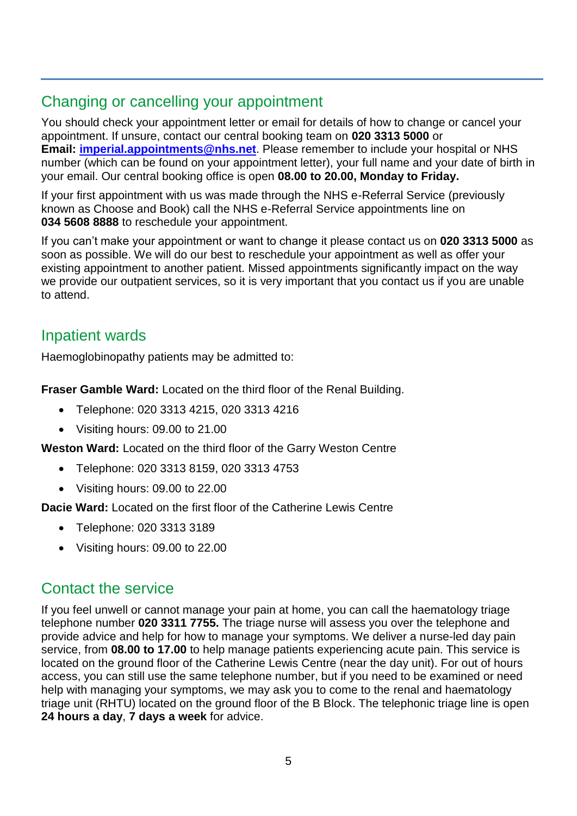# Changing or cancelling your appointment

You should check your appointment letter or email for details of how to change or cancel your appointment. If unsure, contact our central booking team on **020 3313 5000** or **Email: [imperial.appointments@nhs.net](mailto:imperial.appointments@nhs.net)**. Please remember to include your hospital or NHS number (which can be found on your appointment letter), your full name and your date of birth in your email. Our central booking office is open **08.00 to 20.00, Monday to Friday.**

If your first appointment with us was made through the NHS e-Referral Service (previously known as Choose and Book) call the NHS e-Referral Service appointments line on **034 5608 8888** to reschedule your appointment.

If you can't make your appointment or want to change it please contact us on **020 3313 5000** as soon as possible. We will do our best to reschedule your appointment as well as offer your existing appointment to another patient. Missed appointments significantly impact on the way we provide our outpatient services, so it is very important that you contact us if you are unable to attend.

# Inpatient wards

Haemoglobinopathy patients may be admitted to:

**Fraser Gamble Ward:** Located on the third floor of the Renal Building.

- Telephone: 020 3313 4215, 020 3313 4216
- Visiting hours: 09.00 to 21.00

**Weston Ward:** Located on the third floor of the Garry Weston Centre

- Telephone: 020 3313 8159, 020 3313 4753
- Visiting hours: 09.00 to 22.00

**Dacie Ward:** Located on the first floor of the Catherine Lewis Centre

- Telephone: 020 3313 3189
- Visiting hours: 09.00 to 22.00

## Contact the service

If you feel unwell or cannot manage your pain at home, you can call the haematology triage telephone number **020 3311 7755.** The triage nurse will assess you over the telephone and provide advice and help for how to manage your symptoms. We deliver a nurse-led day pain service, from **08.00 to 17.00** to help manage patients experiencing acute pain. This service is located on the ground floor of the Catherine Lewis Centre (near the day unit). For out of hours access, you can still use the same telephone number, but if you need to be examined or need help with managing your symptoms, we may ask you to come to the renal and haematology triage unit (RHTU) located on the ground floor of the B Block. The telephonic triage line is open **24 hours a day**, **7 days a week** for advice.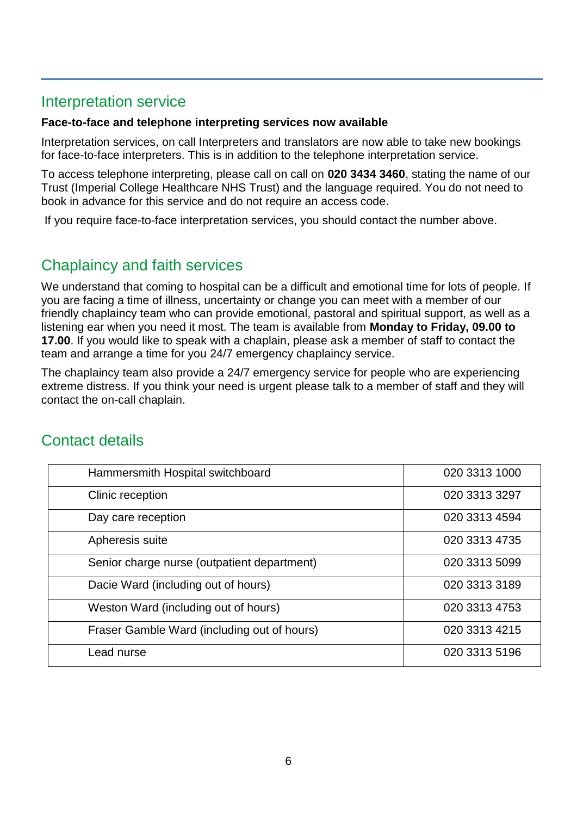## Interpretation service

#### **Face-to-face and telephone interpreting services now available**

Interpretation services, on call Interpreters and translators are now able to take new bookings for face-to-face interpreters. This is in addition to the telephone interpretation service.

To access telephone interpreting, please call on call on **020 3434 3460**, stating the name of our Trust (Imperial College Healthcare NHS Trust) and the language required. You do not need to book in advance for this service and do not require an access code.

If you require face-to-face interpretation services, you should contact the number above.

## Chaplaincy and faith services

We understand that coming to hospital can be a difficult and emotional time for lots of people. If you are facing a time of illness, uncertainty or change you can meet with a member of our friendly chaplaincy team who can provide emotional, pastoral and spiritual support, as well as a listening ear when you need it most. The team is available from **Monday to Friday, 09.00 to 17.00**. If you would like to speak with a chaplain, please ask a member of staff to contact the team and arrange a time for you 24/7 emergency chaplaincy service.

The chaplaincy team also provide a 24/7 emergency service for people who are experiencing extreme distress. If you think your need is urgent please talk to a member of staff and they will contact the on-call chaplain.

| Hammersmith Hospital switchboard            | 020 3313 1000 |
|---------------------------------------------|---------------|
| Clinic reception                            | 020 3313 3297 |
| Day care reception                          | 020 3313 4594 |
| Apheresis suite                             | 020 3313 4735 |
| Senior charge nurse (outpatient department) | 020 3313 5099 |
| Dacie Ward (including out of hours)         | 020 3313 3189 |
| Weston Ward (including out of hours)        | 020 3313 4753 |
| Fraser Gamble Ward (including out of hours) | 020 3313 4215 |
| Lead nurse                                  | 020 3313 5196 |

## Contact details